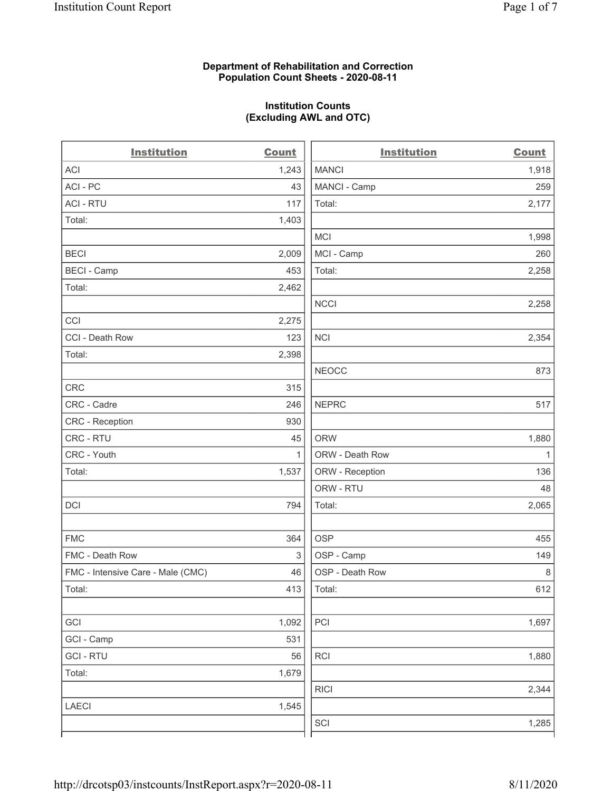## Department of Rehabilitation and Correction Population Count Sheets - 2020-08-11

## Institution Counts (Excluding AWL and OTC)

 $\overline{a}$ 

| <b>Institution</b>                | <b>Count</b> | <b>Institution</b> | <b>Count</b> |
|-----------------------------------|--------------|--------------------|--------------|
| ACI                               | 1,243        | <b>MANCI</b>       | 1,918        |
| ACI - PC                          | 43           | MANCI - Camp       | 259          |
| <b>ACI - RTU</b>                  | 117          | Total:             | 2,177        |
| Total:                            | 1,403        |                    |              |
|                                   |              | <b>MCI</b>         | 1,998        |
| <b>BECI</b>                       | 2,009        | MCI - Camp         | 260          |
| <b>BECI - Camp</b>                | 453          | Total:             | 2,258        |
| Total:                            | 2,462        |                    |              |
|                                   |              | <b>NCCI</b>        | 2,258        |
| CCI                               | 2,275        |                    |              |
| CCI - Death Row                   | 123          | <b>NCI</b>         | 2,354        |
| Total:                            | 2,398        |                    |              |
|                                   |              | <b>NEOCC</b>       | 873          |
| <b>CRC</b>                        | 315          |                    |              |
| CRC - Cadre                       | 246          | <b>NEPRC</b>       | 517          |
| CRC - Reception                   | 930          |                    |              |
| CRC - RTU                         | 45           | <b>ORW</b>         | 1,880        |
| CRC - Youth                       | $\mathbf{1}$ | ORW - Death Row    | $\mathbf{1}$ |
| Total:                            | 1,537        | ORW - Reception    | 136          |
|                                   |              | ORW - RTU          | 48           |
| DCI                               | 794          | Total:             | 2,065        |
| <b>FMC</b>                        | 364          | <b>OSP</b>         | 455          |
| FMC - Death Row                   | 3            | OSP - Camp         | 149          |
| FMC - Intensive Care - Male (CMC) | 46           | OSP - Death Row    | $\,8\,$      |
| Total:                            | 413          | Total:             | 612          |
| GCI                               | 1,092        | PCI                | 1,697        |
| GCI - Camp                        | 531          |                    |              |
| <b>GCI-RTU</b>                    | 56           | RCI                | 1,880        |
| Total:                            | 1,679        |                    |              |
|                                   |              | <b>RICI</b>        | 2,344        |
| <b>LAECI</b>                      | 1,545        |                    |              |
|                                   |              | SCI                | 1,285        |
|                                   |              |                    |              |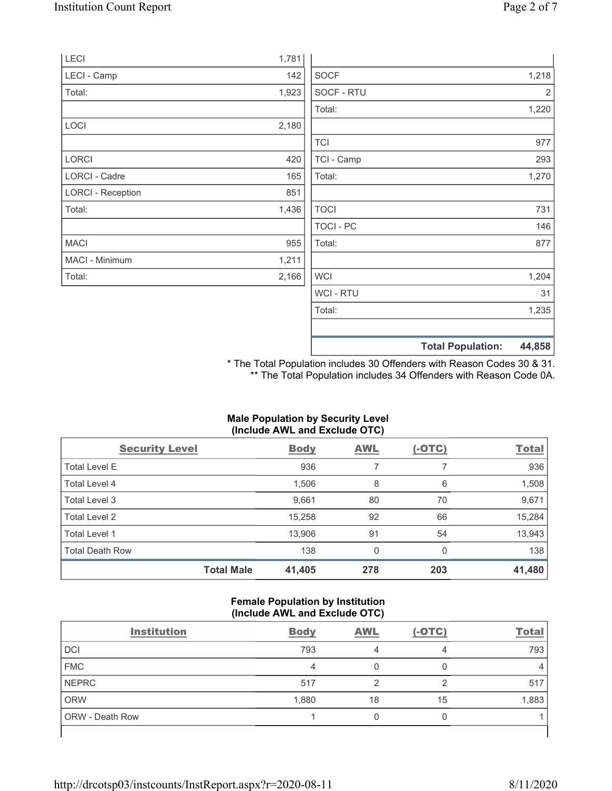|                          |       |             | <b>Total Population:</b> | 44,858         |
|--------------------------|-------|-------------|--------------------------|----------------|
|                          |       |             |                          |                |
|                          |       | Total:      |                          | 1,235          |
|                          |       | WCI - RTU   |                          | 31             |
| Total:                   | 2,166 | <b>WCI</b>  |                          | 1,204          |
| MACI - Minimum           | 1,211 |             |                          |                |
| <b>MACI</b>              | 955   | Total:      |                          | 877            |
|                          |       | TOCI - PC   |                          | 146            |
| Total:                   | 1,436 | <b>TOCI</b> |                          | 731            |
| <b>LORCI - Reception</b> | 851   |             |                          |                |
| LORCI - Cadre            | 165   | Total:      |                          | 1,270          |
| <b>LORCI</b>             | 420   | TCI - Camp  |                          | 293            |
|                          |       | <b>TCI</b>  |                          | 977            |
| LOCI                     | 2,180 |             |                          |                |
|                          |       | Total:      |                          | 1,220          |
| Total:                   | 1,923 | SOCF - RTU  |                          | $\overline{2}$ |
| LECI - Camp              | 142   | <b>SOCF</b> |                          | 1,218          |
| LECI                     | 1,781 |             |                          |                |

\* The Total Population includes 30 Offenders with Reason Codes 30 & 31. \*\* The Total Population includes 34 Offenders with Reason Code 0A.

#### Male Population by Security Level (Include AWL and Exclude OTC)

| <b>Security Level</b>  | <b>Body</b>                 | AWL          | $(-OTC)$ | <b>Total</b> |
|------------------------|-----------------------------|--------------|----------|--------------|
| Total Level E          | 936                         |              |          | 936          |
| Total Level 4          | 1,506                       | 8            | 6        | 1,508        |
| Total Level 3          | 9,661                       | 80           | 70       | 9,671        |
| Total Level 2          | 15,258                      | 92           | 66       | 15,284       |
| Total Level 1          | 13,906                      | 91           | 54       | 13,943       |
| <b>Total Death Row</b> | 138                         | $\mathbf{0}$ | 0        | 138          |
|                        | <b>Total Male</b><br>41,405 | 278          | 203      | 41,480       |

#### Female Population by Institution (Include AWL and Exclude OTC)

| <b>Institution</b> | <b>Body</b> | <b>AWL</b> | $(-OTC)$ | <b>Total</b> |
|--------------------|-------------|------------|----------|--------------|
| <b>DCI</b>         | 793         |            | 4        | 793          |
| <b>FMC</b>         | 4           |            |          |              |
| <b>NEPRC</b>       | 517         | ◠          | ◠        | 517          |
| <b>ORW</b>         | 1,880       | 18         | 15       | 1,883        |
| ORW - Death Row    |             | 0          |          |              |
|                    |             |            |          |              |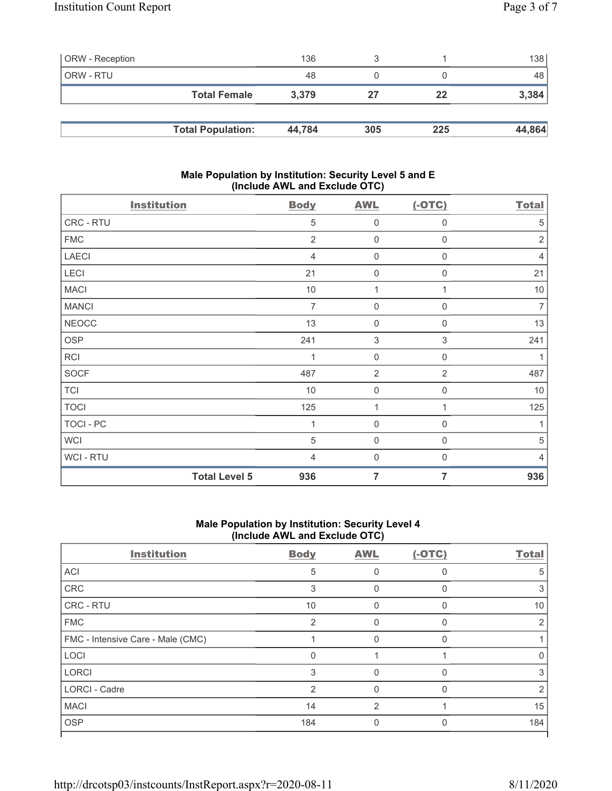| <b>ORW</b> - Reception |                          | 136    |     |     | 138 <sup>1</sup> |
|------------------------|--------------------------|--------|-----|-----|------------------|
| ORW - RTU              |                          | 48     |     |     | 48               |
|                        | <b>Total Female</b>      | 3.379  | 27  | 22  | 3,384            |
|                        |                          |        |     |     |                  |
|                        | <b>Total Population:</b> | 44,784 | 305 | 225 | 44,864           |

## Male Population by Institution: Security Level 5 and E (Include AWL and Exclude OTC)

| <b>Institution</b> | <b>Body</b>                 | <b>AWL</b>                    | $(-OTC)$         | <b>Total</b>   |
|--------------------|-----------------------------|-------------------------------|------------------|----------------|
| CRC - RTU          |                             | 5<br>$\mathbf 0$              | 0                | $\sqrt{5}$     |
| <b>FMC</b>         |                             | $\overline{2}$<br>$\mathbf 0$ | $\mathbf 0$      | $\overline{2}$ |
| <b>LAECI</b>       |                             | $\mathbf 0$<br>$\overline{4}$ | $\mathbf 0$      | $\overline{4}$ |
| LECI               | 21                          | $\mathbf 0$                   | $\mathbf 0$      | 21             |
| <b>MACI</b>        | $10$                        | 1                             | 1                | $10$           |
| <b>MANCI</b>       |                             | $\overline{7}$<br>$\mathbf 0$ | $\boldsymbol{0}$ | $\overline{7}$ |
| <b>NEOCC</b>       | 13                          | $\mathbf 0$                   | $\mathbf 0$      | 13             |
| <b>OSP</b>         | 241                         | $\ensuremath{\mathsf{3}}$     | $\sqrt{3}$       | 241            |
| <b>RCI</b>         |                             | $\mathbf 0$<br>1              | $\mathbf 0$      | $\mathbf{1}$   |
| <b>SOCF</b>        | 487                         | $\overline{2}$                | $\overline{2}$   | 487            |
| <b>TCI</b>         | 10                          | $\mathbf 0$                   | $\mathbf 0$      | 10             |
| <b>TOCI</b>        | 125                         | 1                             | 1                | 125            |
| TOCI - PC          |                             | $\boldsymbol{0}$              | 0                | 1              |
| <b>WCI</b>         |                             | 5<br>$\mathbf 0$              | 0                | $\sqrt{5}$     |
| WCI-RTU            |                             | $\mathbf 0$<br>$\overline{4}$ | $\mathbf 0$      | $\overline{4}$ |
|                    | <b>Total Level 5</b><br>936 | $\overline{7}$                | 7                | 936            |

# Male Population by Institution: Security Level 4 (Include AWL and Exclude OTC)

| <b>Institution</b>                | <b>Body</b>    | <b>AWL</b> | $(-OTC)$     | <b>Total</b> |
|-----------------------------------|----------------|------------|--------------|--------------|
| ACI                               | 5              |            |              | 5            |
| CRC                               | 3              | 0          |              | 3            |
| CRC - RTU                         | 10             | 0          | <sup>0</sup> | 10           |
| <b>FMC</b>                        | $\mathfrak{p}$ | O          |              | 2            |
| FMC - Intensive Care - Male (CMC) |                | O          |              |              |
| LOCI                              | $\Omega$       |            |              | 0            |
| <b>LORCI</b>                      | 3              | 0          | $\Omega$     | 3            |
| <b>LORCI - Cadre</b>              | $\mathfrak{D}$ | O          | ∩            | 2            |
| <b>MACI</b>                       | 14             | 2          |              | 15           |
| <b>OSP</b>                        | 184            |            |              | 184          |
|                                   |                |            |              |              |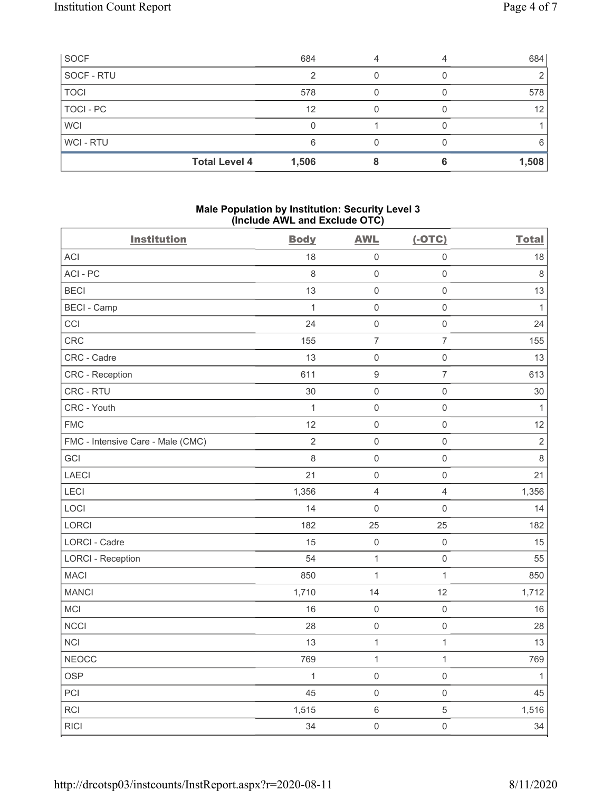| SOCF           | 684                           |  | 684   |
|----------------|-------------------------------|--|-------|
| SOCF - RTU     |                               |  |       |
| <b>TOCI</b>    | 578                           |  | 578   |
| TOCI - PC      | 12                            |  | 12    |
| <b>WCI</b>     |                               |  |       |
| <b>WCI-RTU</b> | 6                             |  | 6     |
|                | <b>Total Level 4</b><br>1,506 |  | 1,508 |

## Male Population by Institution: Security Level 3 (Include AWL and Exclude OTC)

| <b>Institution</b>                | <b>Body</b>    | <b>AWL</b>          | $(-OTC)$            | <b>Total</b>   |
|-----------------------------------|----------------|---------------------|---------------------|----------------|
| <b>ACI</b>                        | 18             | $\mathbf 0$         | $\mathsf 0$         | 18             |
| ACI-PC                            | $\,8\,$        | $\mathsf{O}\xspace$ | $\mathsf{O}\xspace$ | $\,8\,$        |
| <b>BECI</b>                       | 13             | $\mathsf 0$         | $\mathsf 0$         | 13             |
| <b>BECI - Camp</b>                | $\mathbf{1}$   | $\mathbf 0$         | $\mathsf 0$         | $\mathbf{1}$   |
| CCI                               | 24             | $\mathsf{O}\xspace$ | $\mathsf{O}\xspace$ | 24             |
| CRC                               | 155            | $\overline{7}$      | $\overline{7}$      | 155            |
| CRC - Cadre                       | 13             | $\mathbf 0$         | $\mathsf{O}\xspace$ | 13             |
| CRC - Reception                   | 611            | $\boldsymbol{9}$    | $\overline{7}$      | 613            |
| CRC - RTU                         | 30             | $\mathsf 0$         | $\mathsf{O}\xspace$ | $30\,$         |
| CRC - Youth                       | $\mathbf{1}$   | $\mathsf 0$         | $\mathsf 0$         | $\mathbf{1}$   |
| <b>FMC</b>                        | 12             | $\mathsf 0$         | $\mathsf 0$         | 12             |
| FMC - Intensive Care - Male (CMC) | $\overline{2}$ | $\mathbf 0$         | $\mathsf{O}\xspace$ | $\overline{2}$ |
| GCI                               | $\,8\,$        | $\mathsf 0$         | $\mathsf 0$         | $\,8\,$        |
| LAECI                             | 21             | $\mathsf{O}\xspace$ | $\mathsf{O}\xspace$ | 21             |
| LECI                              | 1,356          | $\overline{4}$      | $\overline{4}$      | 1,356          |
| LOCI                              | 14             | $\mathsf 0$         | $\mathsf{O}\xspace$ | 14             |
| LORCI                             | 182            | 25                  | 25                  | 182            |
| LORCI - Cadre                     | 15             | $\mathsf{O}\xspace$ | $\mathsf{O}\xspace$ | 15             |
| <b>LORCI - Reception</b>          | 54             | $\mathbf{1}$        | $\mathsf 0$         | 55             |
| <b>MACI</b>                       | 850            | $\mathbf{1}$        | $\mathbf{1}$        | 850            |
| <b>MANCI</b>                      | 1,710          | 14                  | 12                  | 1,712          |
| MCI                               | 16             | $\mathbf 0$         | $\mathsf 0$         | 16             |
| <b>NCCI</b>                       | 28             | $\mathsf{O}\xspace$ | $\mathsf{O}\xspace$ | 28             |
| NCI                               | 13             | $\mathbf{1}$        | $\mathbf{1}$        | 13             |
| <b>NEOCC</b>                      | 769            | $\mathbf{1}$        | $\mathbf{1}$        | 769            |
| <b>OSP</b>                        | $\mathbf{1}$   | $\mathsf 0$         | $\mathsf{O}\xspace$ | $\mathbf{1}$   |
| PCI                               | 45             | $\mathsf 0$         | $\mathsf 0$         | 45             |
| <b>RCI</b>                        | 1,515          | $\,6\,$             | 5                   | 1,516          |
| <b>RICI</b>                       | 34             | $\mathsf 0$         | $\mathsf{O}\xspace$ | 34             |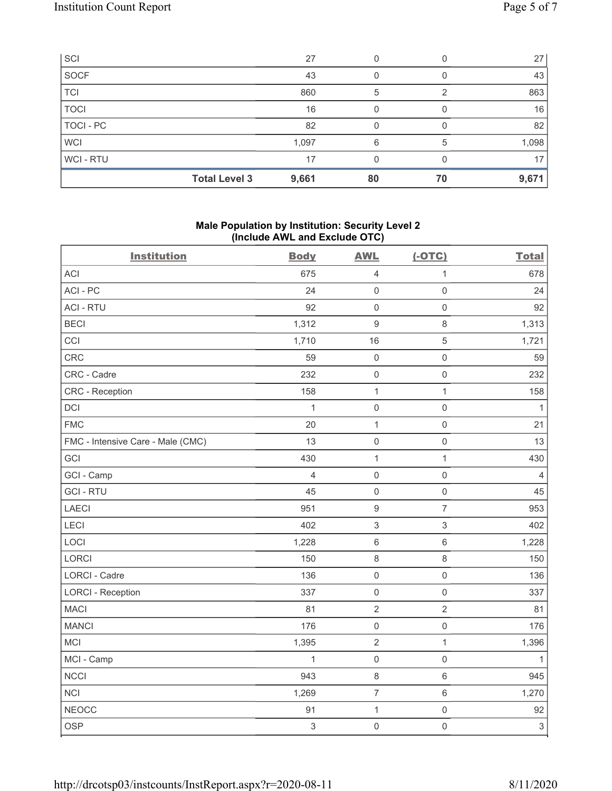| SCI            |                      | 27    | 0  |    | 27    |
|----------------|----------------------|-------|----|----|-------|
| SOCF           |                      | 43    |    |    | 43    |
| <b>TCI</b>     |                      | 860   | 5  |    | 863   |
| <b>TOCI</b>    |                      | 16    |    |    | 16    |
| TOCI - PC      |                      | 82    |    |    | 82    |
| <b>WCI</b>     |                      | 1,097 | 6  | 5  | 1,098 |
| <b>WCI-RTU</b> |                      | 17    | 0  |    | 17    |
|                | <b>Total Level 3</b> | 9,661 | 80 | 70 | 9,671 |

## Male Population by Institution: Security Level 2 (Include AWL and Exclude OTC)

| <b>Body</b>    | <b>AWL</b>                | $(-OTC)$            | <b>Total</b>              |
|----------------|---------------------------|---------------------|---------------------------|
| 675            | $\overline{4}$            | $\mathbf{1}$        | 678                       |
| 24             | $\mathsf{O}\xspace$       | $\mathsf 0$         | 24                        |
| 92             | $\mathbf 0$               | $\mathsf 0$         | 92                        |
| 1,312          | $\boldsymbol{9}$          | $\,8\,$             | 1,313                     |
| 1,710          | 16                        | $\sqrt{5}$          | 1,721                     |
| 59             | $\mathbf 0$               | $\mathsf{O}\xspace$ | 59                        |
| 232            | $\mathbf 0$               | $\mathsf{O}\xspace$ | 232                       |
| 158            | $\mathbf{1}$              | $\mathbf{1}$        | 158                       |
| $\mathbf{1}$   | $\mathbf 0$               | $\mathsf{O}\xspace$ | 1                         |
| 20             | $\mathbf 1$               | $\mathsf 0$         | 21                        |
| 13             | $\mathbf 0$               | $\mathsf 0$         | 13                        |
| 430            | $\mathbf{1}$              | $\mathbf{1}$        | 430                       |
| $\overline{4}$ | $\mathbf 0$               | $\mathsf 0$         | $\overline{4}$            |
| 45             | $\mathbf 0$               | $\mathsf 0$         | 45                        |
| 951            | $\boldsymbol{9}$          | $\overline{7}$      | 953                       |
| 402            | $\ensuremath{\mathsf{3}}$ | $\mathfrak{S}$      | 402                       |
| 1,228          | $\,6\,$                   | $\,6\,$             | 1,228                     |
| 150            | $\,8\,$                   | $\,8\,$             | 150                       |
| 136            | $\mathbf 0$               | $\mathsf{O}\xspace$ | 136                       |
| 337            | $\mathbf 0$               | $\mathsf 0$         | 337                       |
| 81             | $\sqrt{2}$                | $\sqrt{2}$          | 81                        |
| 176            | $\mathbf 0$               | $\mathsf{O}\xspace$ | 176                       |
| 1,395          | $\overline{2}$            | $\mathbf{1}$        | 1,396                     |
| 1              | $\mathbf 0$               | $\mathsf{O}\xspace$ | 1                         |
| 943            | $\,8\,$                   | $\,6\,$             | 945                       |
| 1,269          | $\overline{7}$            | $\,6\,$             | 1,270                     |
| 91             | $\mathbf 1$               | $\mathsf{O}\xspace$ | 92                        |
| $\,$ 3 $\,$    | $\mathsf{O}\xspace$       | $\mathsf 0$         | $\ensuremath{\mathsf{3}}$ |
|                |                           |                     |                           |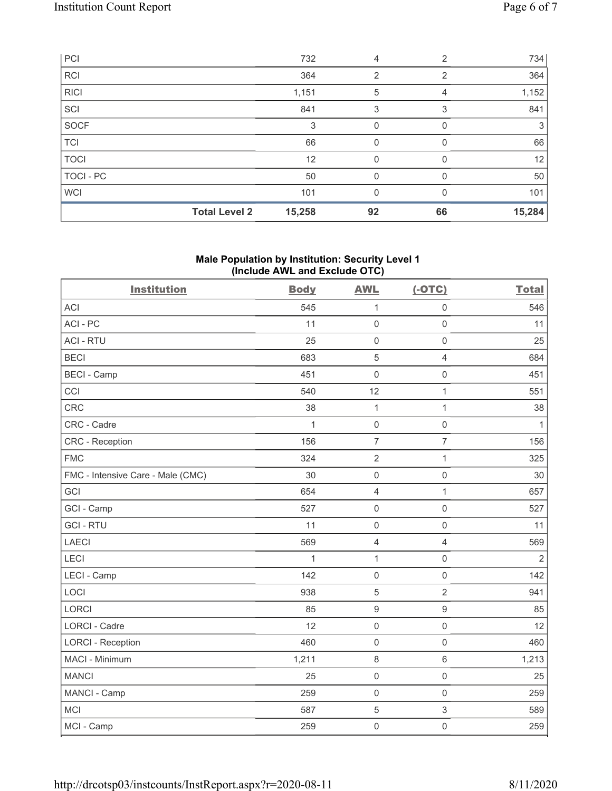| PCI         |                      | 732    | 4              | $\overline{2}$ | 734    |
|-------------|----------------------|--------|----------------|----------------|--------|
| <b>RCI</b>  |                      | 364    | $\overline{2}$ | 2              | 364    |
| <b>RICI</b> |                      | 1,151  | 5              | 4              | 1,152  |
| SCI         |                      | 841    | 3              | 3              | 841    |
| SOCF        |                      | 3      | 0              | 0              | 3      |
| <b>TCI</b>  |                      | 66     | 0              | 0              | 66     |
| <b>TOCI</b> |                      | 12     | 0              |                | 12     |
| TOCI - PC   |                      | 50     | 0              |                | 50     |
| <b>WCI</b>  |                      | 101    | 0              | <sup>0</sup>   | 101    |
|             | <b>Total Level 2</b> | 15,258 | 92             | 66             | 15,284 |

## Male Population by Institution: Security Level 1 (Include AWL and Exclude OTC)

| <b>Institution</b>                | <b>Body</b> | <b>AWL</b>          | $(-OTC)$            | <b>Total</b>   |
|-----------------------------------|-------------|---------------------|---------------------|----------------|
| <b>ACI</b>                        | 545         | $\mathbf{1}$        | $\mathsf{O}\xspace$ | 546            |
| ACI-PC                            | 11          | $\mathbf 0$         | $\mathsf 0$         | 11             |
| <b>ACI - RTU</b>                  | 25          | $\mathbf 0$         | $\mathsf{O}\xspace$ | 25             |
| <b>BECI</b>                       | 683         | $\overline{5}$      | $\overline{4}$      | 684            |
| <b>BECI - Camp</b>                | 451         | $\mathbf 0$         | $\mathsf{O}\xspace$ | 451            |
| CCI                               | 540         | 12                  | $\mathbf{1}$        | 551            |
| CRC                               | 38          | $\mathbf 1$         | $\mathbf 1$         | 38             |
| CRC - Cadre                       | 1           | $\mathbf 0$         | $\mathsf{O}\xspace$ | 1              |
| <b>CRC</b> - Reception            | 156         | $\overline{7}$      | $\overline{7}$      | 156            |
| <b>FMC</b>                        | 324         | $\sqrt{2}$          | $\mathbf{1}$        | 325            |
| FMC - Intensive Care - Male (CMC) | 30          | $\mathbf 0$         | $\mathsf{O}\xspace$ | 30             |
| GCI                               | 654         | $\overline{4}$      | $\mathbf 1$         | 657            |
| GCI - Camp                        | 527         | $\mathsf{O}\xspace$ | $\mathsf 0$         | 527            |
| <b>GCI-RTU</b>                    | 11          | $\mathbf 0$         | $\mathsf{O}\xspace$ | 11             |
| LAECI                             | 569         | $\overline{4}$      | $\overline{4}$      | 569            |
| LECI                              | 1           | $\mathbf 1$         | $\mathsf{O}\xspace$ | $\overline{2}$ |
| LECI - Camp                       | 142         | $\mathbf 0$         | $\mathsf{O}\xspace$ | 142            |
| LOCI                              | 938         | 5                   | $\overline{2}$      | 941            |
| <b>LORCI</b>                      | 85          | $\boldsymbol{9}$    | $\boldsymbol{9}$    | 85             |
| <b>LORCI - Cadre</b>              | 12          | $\mathsf{O}\xspace$ | $\mathsf{O}\xspace$ | 12             |
| <b>LORCI - Reception</b>          | 460         | $\mathbf 0$         | $\mathsf 0$         | 460            |
| MACI - Minimum                    | 1,211       | $\,8\,$             | $\,6\,$             | 1,213          |
| <b>MANCI</b>                      | 25          | $\mathsf{O}\xspace$ | $\mathsf{O}\xspace$ | 25             |
| MANCI - Camp                      | 259         | $\mathsf{O}\xspace$ | $\mathsf{O}\xspace$ | 259            |
| <b>MCI</b>                        | 587         | $\sqrt{5}$          | $\sqrt{3}$          | 589            |
| MCI - Camp                        | 259         | $\mathbf 0$         | $\mathsf{O}\xspace$ | 259            |